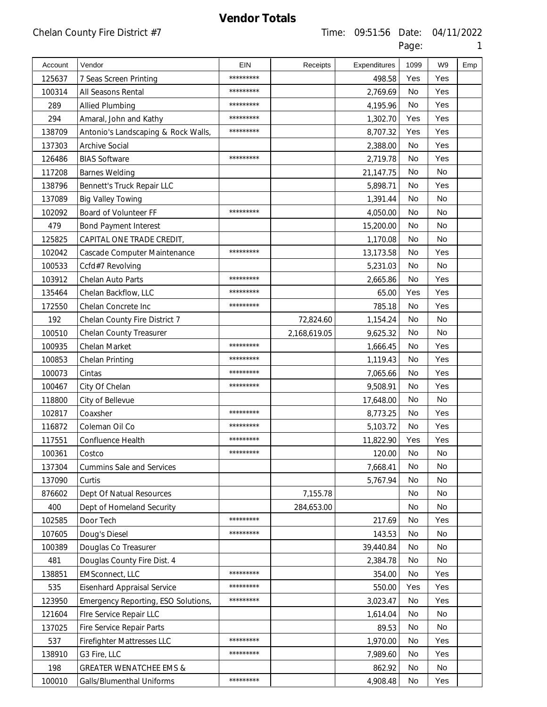| Account | Vendor                              | <b>EIN</b> | Receipts     | Expenditures | 1099      | W <sub>9</sub> | Emp |
|---------|-------------------------------------|------------|--------------|--------------|-----------|----------------|-----|
| 125637  | 7 Seas Screen Printing              | *********  |              | 498.58       | Yes       | Yes            |     |
| 100314  | All Seasons Rental                  | *********  |              | 2,769.69     | <b>No</b> | Yes            |     |
| 289     | Allied Plumbing                     | *********  |              | 4,195.96     | No        | Yes            |     |
| 294     | Amaral, John and Kathy              | *********  |              | 1,302.70     | Yes       | Yes            |     |
| 138709  | Antonio's Landscaping & Rock Walls, | *********  |              | 8,707.32     | Yes       | Yes            |     |
| 137303  | <b>Archive Social</b>               |            |              | 2,388.00     | <b>No</b> | Yes            |     |
| 126486  | <b>BIAS Software</b>                | *********  |              | 2,719.78     | No        | Yes            |     |
| 117208  | <b>Barnes Welding</b>               |            |              | 21,147.75    | <b>No</b> | <b>No</b>      |     |
| 138796  | Bennett's Truck Repair LLC          |            |              | 5,898.71     | No        | Yes            |     |
| 137089  | <b>Big Valley Towing</b>            |            |              | 1,391.44     | <b>No</b> | <b>No</b>      |     |
| 102092  | Board of Volunteer FF               | *********  |              | 4,050.00     | No        | No             |     |
| 479     | <b>Bond Payment Interest</b>        |            |              | 15,200.00    | <b>No</b> | <b>No</b>      |     |
| 125825  | CAPITAL ONE TRADE CREDIT,           |            |              | 1,170.08     | No        | No             |     |
| 102042  | Cascade Computer Maintenance        | *********  |              | 13,173.58    | <b>No</b> | Yes            |     |
| 100533  | Ccfd#7 Revolving                    |            |              | 5,231.03     | No        | No             |     |
| 103912  | Chelan Auto Parts                   | *********  |              | 2,665.86     | <b>No</b> | Yes            |     |
| 135464  | Chelan Backflow, LLC                | *********  |              | 65.00        | Yes       | Yes            |     |
| 172550  | Chelan Concrete Inc                 | *********  |              | 785.18       | <b>No</b> | Yes            |     |
| 192     | Chelan County Fire District 7       |            | 72,824.60    | 1,154.24     | No        | No             |     |
| 100510  | Chelan County Treasurer             |            | 2,168,619.05 | 9,625.32     | <b>No</b> | <b>No</b>      |     |
| 100935  | Chelan Market                       | *********  |              | 1,666.45     | No        | Yes            |     |
| 100853  | Chelan Printing                     | *********  |              | 1,119.43     | <b>No</b> | Yes            |     |
| 100073  | Cintas                              | *********  |              | 7,065.66     | No        | Yes            |     |
| 100467  | City Of Chelan                      | *********  |              | 9,508.91     | <b>No</b> | Yes            |     |
| 118800  | City of Bellevue                    |            |              | 17,648.00    | No        | No.            |     |
| 102817  | Coaxsher                            | *********  |              | 8,773.25     | <b>No</b> | Yes            |     |
| 116872  | Coleman Oil Co                      | *********  |              | 5,103.72     | No        | Yes            |     |
| 117551  | Confluence Health                   | *********  |              | 11,822.90    | Yes       | Yes            |     |
| 100361  | Costco                              |            |              | 120.00       | No        | No.            |     |
| 137304  | <b>Cummins Sale and Services</b>    |            |              | 7,668.41     | <b>No</b> | No.            |     |
| 137090  | Curtis                              |            |              | 5,767.94     | No        | No             |     |
| 876602  | Dept Of Natual Resources            |            | 7,155.78     |              | No        | No             |     |
| 400     | Dept of Homeland Security           |            | 284,653.00   |              | No        | No             |     |
| 102585  | Door Tech                           | *********  |              | 217.69       | No        | Yes            |     |
| 107605  | Doug's Diesel                       | *********  |              | 143.53       | No        | No             |     |
| 100389  | Douglas Co Treasurer                |            |              | 39,440.84    | No        | No.            |     |
| 481     | Douglas County Fire Dist. 4         |            |              | 2,384.78     | No        | No             |     |
| 138851  | EMSconnect, LLC                     | *********  |              | 354.00       | No        | Yes            |     |
| 535     | <b>Eisenhard Appraisal Service</b>  | *********  |              | 550.00       | Yes       | Yes            |     |
| 123950  | Emergency Reporting, ESO Solutions, | *********  |              | 3,023.47     | No        | Yes            |     |
| 121604  | Fire Service Repair LLC             |            |              | 1,614.04     | No        | No             |     |
| 137025  | Fire Service Repair Parts           |            |              | 89.53        | No        | No.            |     |
| 537     | <b>Firefighter Mattresses LLC</b>   | *********  |              | 1,970.00     | No        | Yes            |     |
| 138910  | G3 Fire, LLC                        | *********  |              | 7,989.60     | No        | Yes            |     |
| 198     | <b>GREATER WENATCHEE EMS &amp;</b>  |            |              | 862.92       | No        | No             |     |
| 100010  | Galls/Blumenthal Uniforms           | *********  |              | 4,908.48     | No        | Yes            |     |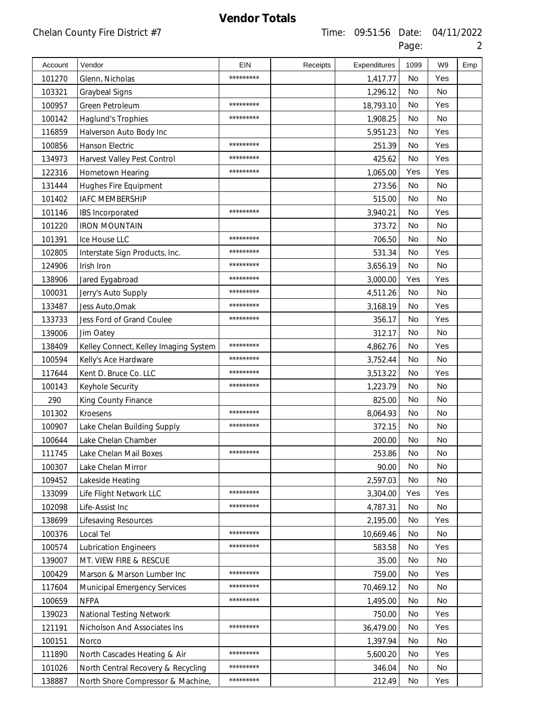| Account | Vendor                                | EIN       | Receipts | Expenditures | 1099      | W9  | Emp |
|---------|---------------------------------------|-----------|----------|--------------|-----------|-----|-----|
| 101270  | Glenn, Nicholas                       | ********* |          | 1,417.77     | No        | Yes |     |
| 103321  | <b>Graybeal Signs</b>                 |           |          | 1,296.12     | No        | No  |     |
| 100957  | Green Petroleum                       | ********* |          | 18,793.10    | No        | Yes |     |
| 100142  | Haglund's Trophies                    | ********* |          | 1,908.25     | No        | No  |     |
| 116859  | Halverson Auto Body Inc               |           |          | 5,951.23     | No        | Yes |     |
| 100856  | Hanson Electric                       | ********* |          | 251.39       | <b>No</b> | Yes |     |
| 134973  | Harvest Valley Pest Control           | ********* |          | 425.62       | No        | Yes |     |
| 122316  | Hometown Hearing                      | ********* |          | 1,065.00     | Yes       | Yes |     |
| 131444  | Hughes Fire Equipment                 |           |          | 273.56       | No        | No  |     |
| 101402  | <b>IAFC MEMBERSHIP</b>                |           |          | 515.00       | <b>No</b> | No  |     |
| 101146  | IBS Incorporated                      | ********* |          | 3,940.21     | No        | Yes |     |
| 101220  | <b>IRON MOUNTAIN</b>                  |           |          | 373.72       | <b>No</b> | No  |     |
| 101391  | Ice House LLC                         | ********* |          | 706.50       | No        | No  |     |
| 102805  | Interstate Sign Products, Inc.        | ********* |          | 531.34       | <b>No</b> | Yes |     |
| 124906  | Irish Iron                            | ********* |          | 3,656.19     | No        | No  |     |
| 138906  | Jared Eygabroad                       | ********* |          | 3,000.00     | Yes       | Yes |     |
| 100031  | Jerry's Auto Supply                   | ********* |          | 4,511.26     | No        | No  |     |
| 133487  | Jess Auto, Omak                       | ********* |          | 3,168.19     | No        | Yes |     |
| 133733  | Jess Ford of Grand Coulee             | ********* |          | 356.17       | <b>No</b> | Yes |     |
| 139006  | Jim Oatey                             |           |          | 312.17       | <b>No</b> | No  |     |
| 138409  | Kelley Connect, Kelley Imaging System | ********* |          | 4,862.76     | No        | Yes |     |
| 100594  | Kelly's Ace Hardware                  | ********* |          | 3,752.44     | No        | No  |     |
| 117644  | Kent D. Bruce Co. LLC                 | ********* |          | 3,513.22     | No        | Yes |     |
| 100143  | Keyhole Security                      | ********* |          | 1,223.79     | <b>No</b> | No  |     |
| 290     | King County Finance                   |           |          | 825.00       | No        | No  |     |
| 101302  | <b>Kroesens</b>                       | ********* |          | 8,064.93     | <b>No</b> | No  |     |
| 100907  | Lake Chelan Building Supply           | ********* |          | 372.15       | No        | No  |     |
| 100644  | Lake Chelan Chamber                   |           |          | 200.00       | No        | No  |     |
| 111745  | Lake Chelan Mail Boxes                | ********* |          | 253.86       | No        | No  |     |
| 100307  | Lake Chelan Mirror                    |           |          | 90.00        | No        | No  |     |
| 109452  | Lakeside Heating                      |           |          | 2,597.03     | No        | No  |     |
| 133099  | Life Flight Network LLC               | ********* |          | 3,304.00     | Yes       | Yes |     |
| 102098  | Life-Assist Inc                       | ********* |          | 4,787.31     | No        | No  |     |
| 138699  | Lifesaving Resources                  |           |          | 2,195.00     | No        | Yes |     |
| 100376  | Local Tel                             | ********* |          | 10,669.46    | No        | No  |     |
| 100574  | <b>Lubrication Engineers</b>          | ********* |          | 583.58       | No        | Yes |     |
| 139007  | MT. VIEW FIRE & RESCUE                |           |          | 35.00        | No        | No  |     |
| 100429  | Marson & Marson Lumber Inc            | ********* |          | 759.00       | No        | Yes |     |
| 117604  | <b>Municipal Emergency Services</b>   | ********* |          | 70,469.12    | No        | No  |     |
| 100659  | <b>NFPA</b>                           | ********* |          | 1,495.00     | No        | No  |     |
| 139023  | National Testing Network              |           |          | 750.00       | No        | Yes |     |
| 121191  | Nicholson And Associates Ins          | ********* |          | 36,479.00    | No        | Yes |     |
| 100151  | Norco                                 |           |          | 1,397.94     | No        | No  |     |
| 111890  | North Cascades Heating & Air          | ********* |          | 5,600.20     | No        | Yes |     |
| 101026  | North Central Recovery & Recycling    | ********* |          | 346.04       | No        | No  |     |
| 138887  | North Shore Compressor & Machine,     | ********* |          | 212.49       | No        | Yes |     |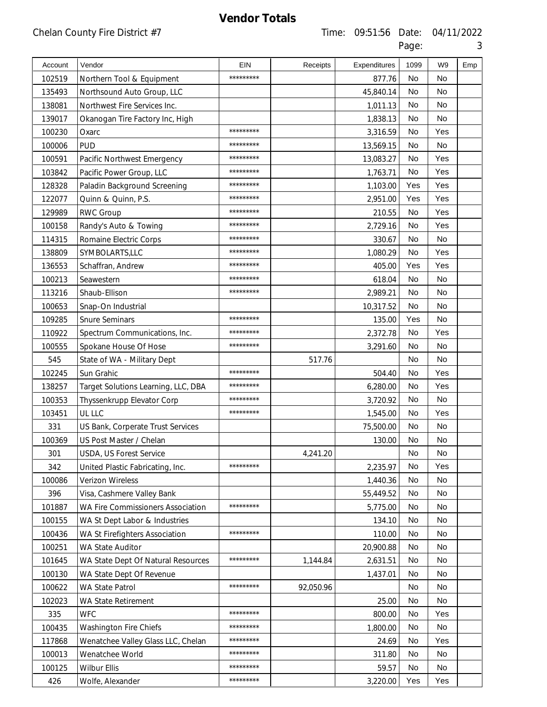| I |
|---|

| Account | Vendor                              | <b>EIN</b> | Receipts  | Expenditures | 1099      | W <sub>9</sub> | Emp |
|---------|-------------------------------------|------------|-----------|--------------|-----------|----------------|-----|
| 102519  | Northern Tool & Equipment           | *********  |           | 877.76       | <b>No</b> | <b>No</b>      |     |
| 135493  | Northsound Auto Group, LLC          |            |           | 45,840.14    | <b>No</b> | <b>No</b>      |     |
| 138081  | Northwest Fire Services Inc.        |            |           | 1,011.13     | <b>No</b> | No             |     |
| 139017  | Okanogan Tire Factory Inc, High     |            |           | 1,838.13     | <b>No</b> | <b>No</b>      |     |
| 100230  | Oxarc                               | *********  |           | 3,316.59     | <b>No</b> | Yes            |     |
| 100006  | <b>PUD</b>                          | *********  |           | 13,569.15    | No        | <b>No</b>      |     |
| 100591  | Pacific Northwest Emergency         | *********  |           | 13,083.27    | No        | Yes            |     |
| 103842  | Pacific Power Group, LLC            | *********  |           | 1,763.71     | No        | Yes            |     |
| 128328  | Paladin Background Screening        | *********  |           | 1,103.00     | Yes       | Yes            |     |
| 122077  | Quinn & Quinn, P.S.                 | *********  |           | 2,951.00     | Yes       | Yes            |     |
| 129989  | <b>RWC Group</b>                    | *********  |           | 210.55       | <b>No</b> | Yes            |     |
| 100158  | Randy's Auto & Towing               | *********  |           | 2,729.16     | <b>No</b> | Yes            |     |
| 114315  | Romaine Electric Corps              | *********  |           | 330.67       | <b>No</b> | <b>No</b>      |     |
| 138809  | SYMBOLARTS,LLC                      | *********  |           | 1,080.29     | No        | Yes            |     |
| 136553  | Schaffran, Andrew                   | *********  |           | 405.00       | Yes       | Yes            |     |
| 100213  | Seawestern                          | *********  |           | 618.04       | No        | <b>No</b>      |     |
| 113216  | Shaub-Ellison                       | *********  |           | 2,989.21     | <b>No</b> | No             |     |
| 100653  | Snap-On Industrial                  |            |           | 10,317.52    | No        | No             |     |
| 109285  | <b>Snure Seminars</b>               | *********  |           | 135.00       | Yes       | <b>No</b>      |     |
| 110922  | Spectrum Communications, Inc.       | *********  |           | 2,372.78     | <b>No</b> | Yes            |     |
| 100555  | Spokane House Of Hose               | *********  |           | 3,291.60     | <b>No</b> | <b>No</b>      |     |
| 545     | State of WA - Military Dept         |            | 517.76    |              | <b>No</b> | <b>No</b>      |     |
| 102245  | Sun Grahic                          | *********  |           | 504.40       | <b>No</b> | Yes            |     |
| 138257  | Target Solutions Learning, LLC, DBA | *********  |           | 6,280.00     | <b>No</b> | Yes            |     |
| 100353  | Thyssenkrupp Elevator Corp          | *********  |           | 3,720.92     | <b>No</b> | <b>No</b>      |     |
| 103451  | UL LLC                              | *********  |           | 1,545.00     | <b>No</b> | Yes            |     |
| 331     | US Bank, Corperate Trust Services   |            |           | 75,500.00    | No        | No             |     |
| 100369  | US Post Master / Chelan             |            |           | 130.00       | No        | No             |     |
| 301     | USDA, US Forest Service             |            | 4,241.20  |              | No        | No             |     |
| 342     | United Plastic Fabricating, Inc.    | *********  |           | 2,235.97     | No        | Yes            |     |
| 100086  | Verizon Wireless                    |            |           | 1,440.36     | No        | No             |     |
| 396     | Visa, Cashmere Valley Bank          |            |           | 55,449.52    | No        | No             |     |
| 101887  | WA Fire Commissioners Association   | *********  |           | 5,775.00     | No        | No             |     |
| 100155  | WA St Dept Labor & Industries       |            |           | 134.10       | No        | No             |     |
| 100436  | WA St Firefighters Association      | *********  |           | 110.00       | No        | No             |     |
| 100251  | WA State Auditor                    |            |           | 20,900.88    | No        | No             |     |
| 101645  | WA State Dept Of Natural Resources  | *********  | 1,144.84  | 2,631.51     | No        | No             |     |
| 100130  | WA State Dept Of Revenue            |            |           | 1,437.01     | No        | No             |     |
| 100622  | WA State Patrol                     | *********  | 92,050.96 |              | No        | No             |     |
| 102023  | WA State Retirement                 |            |           | 25.00        | No        | No             |     |
| 335     | <b>WFC</b>                          | *********  |           | 800.00       | No        | Yes            |     |
| 100435  | Washington Fire Chiefs              | *********  |           | 1,800.00     | No        | No             |     |
| 117868  | Wenatchee Valley Glass LLC, Chelan  | *********  |           | 24.69        | No        | Yes            |     |
| 100013  | Wenatchee World                     | *********  |           | 311.80       | No        | No             |     |
| 100125  | <b>Wilbur Ellis</b>                 | *********  |           | 59.57        | No        | No             |     |
| 426     | Wolfe, Alexander                    | *********  |           | 3,220.00     | Yes       | Yes            |     |